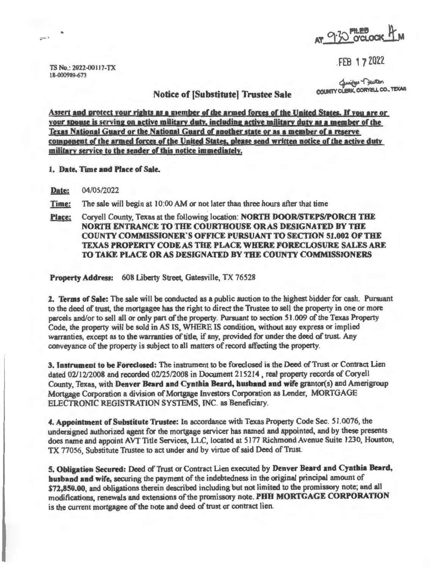

FEB i 7 2022

TS No.: 2022-00117-TX 18-000989-Q73

"

 $\overline{\omega}$ <sup>+</sup>

Curitar Deuton<br>COUNTY CLERK, CORYELL CO., TEXAS

Notice of (Substitute] Trustee Sale

Assert and protect your rights as a member of the armed forces of the United States. If you are or your spouse is serving on active military duty, including active military duty as a member of the Texas National Guard or the National Guard of another state or as a member of a reserve **component of the armed forces of the United States, please send written notice of the active duty military service to the sender of this notice immediately.** 

**l. Date, Time and Place of Sale.** 

**Date:** 04/05/2022

**Time:** The sale will begin at 10:00 AM or not later than three hours after that time

**Place:** Coryell County, Texas at the following location: **NORTH DOOR/STEPS/PORCH THE NORTH ENTRANCE TO THE COURTHOUSE ORAS DESIGNATED BY THE COUNTY COMMISSIONER'S OFFICE PURSUANT TO SECTION** 51.002 **OF THE TEXAS PROPERTY CODE AS THE PLACE WHERE FORECLOSURE SALES ARE TO TAKE PLACE OR AS DESIGNATED BY THE COUNTY COMMISSIONERS** 

**Property Address:** 608 Liberty Street, Gatesville, TX 76528

2. **Terms of Sale:** The sale will be conducted as a public auction to the highest bidder for cash. Pursuant to the deed of trust, the mortgagee has the right to direct the Trustee to sell the property in one or more parcels and/or to sell all or only part of the property. Pursuant to section 51 . 009 of the Texas Property Code, the property will be sold in AS IS, WHERE IS condition, without any express or implied warranties, except as to the warranties of title, if any, provided for under the deed of trust. Any conveyance of the property is subject to all matters ofrecord affecting the property.

3. Instrument **to be Foreclosed:** The instrument to be foreclosed is the Deed of Trust or Contract Lien dated 02112/2008 and recorded 02/25/2008 in Document 215214 , real property records of Coryell County, Texas, with Denver Beard and Cynthia Beard, husband and wife grantor(s) and Amerigroup Mortgage Corporation a division of Mortgage Investors Corporation as Lender, MORTGAGE ELECTRONIC REGISTRATION SYSTEMS, INC. as Beneficiary.

**4. Appointment of Substitute Trustee:** In accordance with Texas Property Code Sec. 51 .0076, the undersigned authorized agent for the mortgage servicer has named and appointed, and by these presents does name and appoint AVT Title Services, LLC, located at 5177 Richmond Avenue Suite 1230, Houston, TX 77056, Substitute Trustee to act under and by virtue of said Deed of Trust.

5. **Obligation Secured:** Deed of Trust or Contract Lien executed by **Denver Beard and Cynthia Beard, husband and wife,** securing the payment of the indebtedness in the original principal amount of \$72,850.00, and obligations therein described including but not limited to the promissory note; and all modifications, renewals and extensions of the promissory note. **PHH MORTGAGE CORPORATION**  is the current mortgagee of the note and deed of trust or contract lien.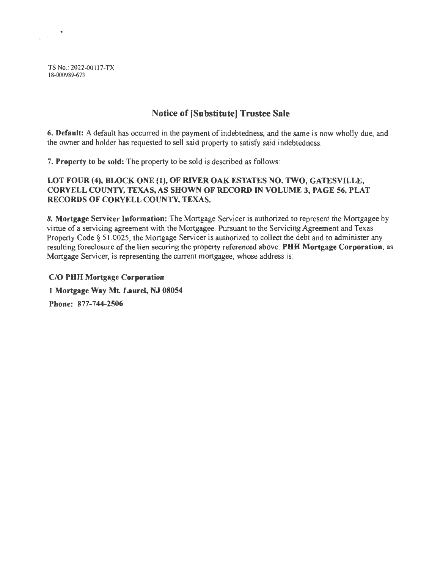TS No.: 2022-00117-TX 18-000989-673

 $\bullet$ 

 $\mathcal{L}^{(1)}$  .

# **Notice of (Substitute) Trustee Sale**

6. **Default:** A default has occurred in the payment of indebtedness, and the same is now wholly due, and the owner and holder has requested to sell said property to satisfy said indebtedness.

7. **Property to be sold:** The property to be sold is described as follows:

### **LOT FOUR (4), BLOCK ONE (1), OF RIVER OAK ESTATES NO. TWO, GATESVILLE, CORYELL COUN1Y, TEXAS, AS SHOWN OF RECORD** IN **VOLUME 3, PAGE 56, PLAT RECORDS OF CORYELL COUNTY, TEXAS.**

**8. Mortgage Servicer Information:** The Mortgage Servicer is authorized to represent the Mortgagee by virtue of a servicing agreement with the Mortgagee. Pursuant to the Servicing Agreement and Texas Property Code § 51.0025, the Mortgage Servicer is authorized to collect the debt and to administer any resulting foreclosure of the lien securing the property referenced above. **PHH Mortgage Corporation,** as Mortgage Servicer, is representing the current mortgagee, whose address is:

**C/O PHH Mortgage Corporation l Mortgage Way Mt Laurel, NJ 08054 Phone: 877-744-2506**